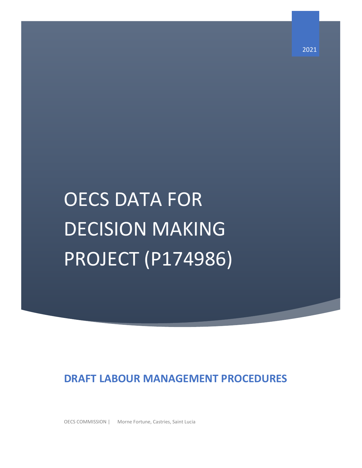# OECS DATA FOR DECISION MAKING PROJECT (P174986)

# **DRAFT LABOUR MANAGEMENT PROCEDURES**

OECS COMMISSION | Morne Fortune, Castries, Saint Lucia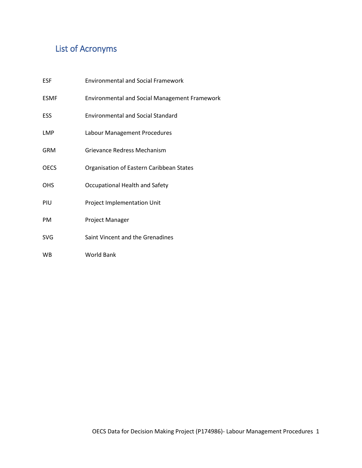# <span id="page-1-0"></span>List of Acronyms

| <b>ESF</b>  | <b>Environmental and Social Framework</b>            |
|-------------|------------------------------------------------------|
| <b>ESMF</b> | <b>Environmental and Social Management Framework</b> |
| ESS         | <b>Environmental and Social Standard</b>             |
| LMP         | Labour Management Procedures                         |
| <b>GRM</b>  | Grievance Redress Mechanism                          |
| <b>OECS</b> | Organisation of Eastern Caribbean States             |
| <b>OHS</b>  | Occupational Health and Safety                       |
| PIU         | Project Implementation Unit                          |
| <b>PM</b>   | Project Manager                                      |
| <b>SVG</b>  | Saint Vincent and the Grenadines                     |
| <b>WB</b>   | World Bank                                           |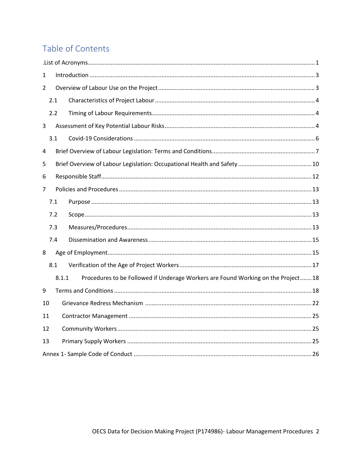# Table of Contents

| 1  |     |       |                                                                                  |  |
|----|-----|-------|----------------------------------------------------------------------------------|--|
| 2  |     |       |                                                                                  |  |
|    | 2.1 |       |                                                                                  |  |
|    | 2.2 |       |                                                                                  |  |
| 3  |     |       |                                                                                  |  |
|    | 3.1 |       |                                                                                  |  |
| 4  |     |       |                                                                                  |  |
| 5  |     |       |                                                                                  |  |
| 6  |     |       |                                                                                  |  |
| 7  |     |       |                                                                                  |  |
|    | 7.1 |       |                                                                                  |  |
|    | 7.2 |       |                                                                                  |  |
|    | 7.3 |       |                                                                                  |  |
|    | 7.4 |       |                                                                                  |  |
| 8  |     |       |                                                                                  |  |
|    | 8.1 |       |                                                                                  |  |
|    |     | 8.1.1 | Procedures to be Followed if Underage Workers are Found Working on the Project18 |  |
| 9  |     |       |                                                                                  |  |
|    | 10  |       |                                                                                  |  |
|    |     |       |                                                                                  |  |
| 11 |     |       |                                                                                  |  |
| 12 |     |       |                                                                                  |  |
| 13 |     |       |                                                                                  |  |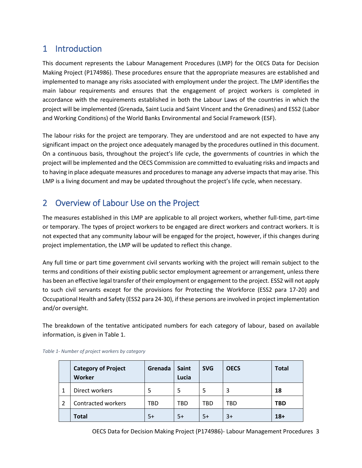## <span id="page-3-0"></span>1 Introduction

This document represents the Labour Management Procedures (LMP) for the OECS Data for Decision Making Project (P174986). These procedures ensure that the appropriate measures are established and implemented to manage any risks associated with employment under the project. The LMP identifies the main labour requirements and ensures that the engagement of project workers is completed in accordance with the requirements established in both the Labour Laws of the countries in which the project will be implemented (Grenada, Saint Lucia and Saint Vincent and the Grenadines) and ESS2 (Labor and Working Conditions) of the World Banks Environmental and Social Framework (ESF).

The labour risks for the project are temporary. They are understood and are not expected to have any significant impact on the project once adequately managed by the procedures outlined in this document. On a continuous basis, throughout the project's life cycle, the governments of countries in which the project will be implemented and the OECS Commission are committed to evaluating risks and impacts and to having in place adequate measures and procedures to manage any adverse impacts that may arise. This LMP is a living document and may be updated throughout the project's life cycle, when necessary.

# <span id="page-3-1"></span>2 Overview of Labour Use on the Project

The measures established in this LMP are applicable to all project workers, whether full-time, part-time or temporary. The types of project workers to be engaged are direct workers and contract workers. It is not expected that any community labour will be engaged for the project, however, if this changes during project implementation, the LMP will be updated to reflect this change.

Any full time or part time government civil servants working with the project will remain subject to the terms and conditions of their existing public sector employment agreement or arrangement, unless there has been an effective legal transfer of their employment or engagement to the project. ESS2 will not apply to such civil servants except for the provisions for Protecting the Workforce (ESS2 para 17-20) and Occupational Health and Safety (ESS2 para 24-30), if these persons are involved in project implementation and/or oversight.

The breakdown of the tentative anticipated numbers for each category of labour, based on available information, is given in [Table 1.](#page-3-2)

|   | <b>Category of Project</b><br>Worker | Grenada | Saint<br>Lucia | <b>SVG</b> | <b>OECS</b> | <b>Total</b> |
|---|--------------------------------------|---------|----------------|------------|-------------|--------------|
|   | Direct workers                       |         | 5              | 5          |             | 18           |
| 2 | Contracted workers                   | TBD     | TBD            | TBD        | TBD         | TBD          |
|   | <b>Total</b>                         | 5+      | 5+             | $5+$       | $3+$        | $18+$        |

<span id="page-3-2"></span>*Table 1- Number of project workers by category*

OECS Data for Decision Making Project (P174986)- Labour Management Procedures 3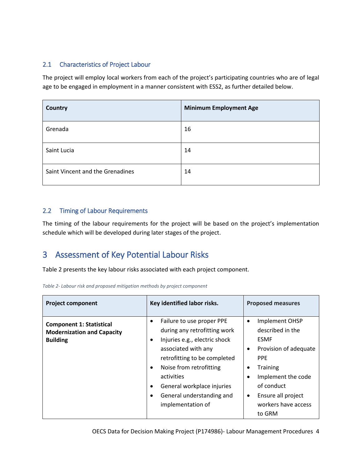#### <span id="page-4-0"></span>2.1 Characteristics of Project Labour

The project will employ local workers from each of the project's participating countries who are of legal age to be engaged in employment in a manner consistent with ESS2, as further detailed below.

| Country                          | <b>Minimum Employment Age</b> |
|----------------------------------|-------------------------------|
| Grenada                          | 16                            |
| Saint Lucia                      | 14                            |
| Saint Vincent and the Grenadines | 14                            |

#### <span id="page-4-1"></span>2.2 Timing of Labour Requirements

The timing of the labour requirements for the project will be based on the project's implementation schedule which will be developed during later stages of the project.

## <span id="page-4-2"></span>3 Assessment of Key Potential Labour Risks

[Table 2](#page-4-3) presents the key labour risks associated with each project component.

<span id="page-4-3"></span>

| <b>Project component</b>                                                                | Key identified labor risks.                                                                                                                                                                                                                                                                                                         | <b>Proposed measures</b>                                                                                                                                                                                                                                        |  |
|-----------------------------------------------------------------------------------------|-------------------------------------------------------------------------------------------------------------------------------------------------------------------------------------------------------------------------------------------------------------------------------------------------------------------------------------|-----------------------------------------------------------------------------------------------------------------------------------------------------------------------------------------------------------------------------------------------------------------|--|
| <b>Component 1: Statistical</b><br><b>Modernization and Capacity</b><br><b>Building</b> | Failure to use proper PPE<br>$\bullet$<br>during any retrofitting work<br>Injuries e.g., electric shock<br>$\bullet$<br>associated with any<br>retrofitting to be completed<br>Noise from retrofitting<br>$\bullet$<br>activities<br>General workplace injuries<br>$\bullet$<br>General understanding and<br>٠<br>implementation of | Implement OHSP<br>$\bullet$<br>described in the<br><b>ESMF</b><br>Provision of adequate<br>٠<br><b>PPE</b><br><b>Training</b><br>$\bullet$<br>Implement the code<br>$\bullet$<br>of conduct<br>Ensure all project<br>$\bullet$<br>workers have access<br>to GRM |  |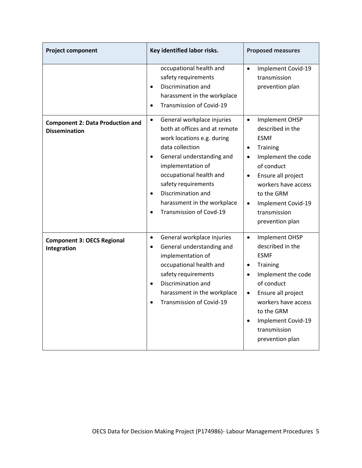| <b>Project component</b>                                        | Key identified labor risks.                                                                                                                                                                                                                                                                                                                          | <b>Proposed measures</b>                                                                                                                                                                                                                                                               |  |
|-----------------------------------------------------------------|------------------------------------------------------------------------------------------------------------------------------------------------------------------------------------------------------------------------------------------------------------------------------------------------------------------------------------------------------|----------------------------------------------------------------------------------------------------------------------------------------------------------------------------------------------------------------------------------------------------------------------------------------|--|
|                                                                 | occupational health and<br>safety requirements<br>Discrimination and<br>$\bullet$<br>harassment in the workplace<br>Transmission of Covid-19<br>$\bullet$                                                                                                                                                                                            | Implement Covid-19<br>$\bullet$<br>transmission<br>prevention plan                                                                                                                                                                                                                     |  |
| <b>Component 2: Data Production and</b><br><b>Dissemination</b> | General workplace injuries<br>$\bullet$<br>both at offices and at remote<br>work locations e.g. during<br>data collection<br>General understanding and<br>$\bullet$<br>implementation of<br>occupational health and<br>safety requirements<br>Discrimination and<br>$\bullet$<br>harassment in the workplace<br>Transmission of Covd-19<br>$\bullet$ | Implement OHSP<br>$\bullet$<br>described in the<br><b>ESMF</b><br>Training<br>$\bullet$<br>Implement the code<br>$\bullet$<br>of conduct<br>Ensure all project<br>$\bullet$<br>workers have access<br>to the GRM<br>Implement Covid-19<br>$\bullet$<br>transmission<br>prevention plan |  |
| <b>Component 3: OECS Regional</b><br>Integration                | General workplace injuries<br>$\bullet$<br>General understanding and<br>$\bullet$<br>implementation of<br>occupational health and<br>safety requirements<br>Discrimination and<br>$\bullet$<br>harassment in the workplace<br>Transmission of Covid-19<br>$\bullet$                                                                                  | Implement OHSP<br>$\bullet$<br>described in the<br><b>ESMF</b><br><b>Training</b><br>٠<br>Implement the code<br>$\bullet$<br>of conduct<br>Ensure all project<br>$\bullet$<br>workers have access<br>to the GRM<br>Implement Covid-19<br>$\bullet$<br>transmission<br>prevention plan  |  |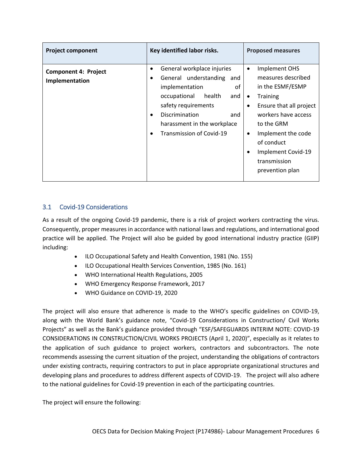| <b>Project component</b>                      | Key identified labor risks.                                                                                                                                                                                                                                                        | <b>Proposed measures</b>                                                                                                                                                                                                                                                                                 |
|-----------------------------------------------|------------------------------------------------------------------------------------------------------------------------------------------------------------------------------------------------------------------------------------------------------------------------------------|----------------------------------------------------------------------------------------------------------------------------------------------------------------------------------------------------------------------------------------------------------------------------------------------------------|
| <b>Component 4: Project</b><br>Implementation | General workplace injuries<br>$\bullet$<br>General understanding<br>and<br>$\bullet$<br>οf<br>implementation<br>occupational<br>health<br>and<br>safety requirements<br>Discrimination<br>and<br>$\bullet$<br>harassment in the workplace<br>Transmission of Covid-19<br>$\bullet$ | Implement OHS<br>$\bullet$<br>measures described<br>in the ESMF/ESMP<br><b>Training</b><br>$\bullet$<br>Ensure that all project<br>$\bullet$<br>workers have access<br>to the GRM<br>Implement the code<br>$\bullet$<br>of conduct<br>Implement Covid-19<br>$\bullet$<br>transmission<br>prevention plan |

#### <span id="page-6-0"></span>3.1 Covid-19 Considerations

As a result of the ongoing Covid-19 pandemic, there is a risk of project workers contracting the virus. Consequently, proper measures in accordance with national laws and regulations, and international good practice will be applied. The Project will also be guided by good international industry practice (GIIP) including:

- ILO Occupational Safety and Health Convention, 1981 (No. 155)
- ILO Occupational Health Services Convention, 1985 (No. 161)
- WHO International Health Regulations, 2005
- WHO Emergency Response Framework, 2017
- WHO Guidance on COVID-19, 2020

The project will also ensure that adherence is made to the WHO's specific guidelines on COVID-19, along with the World Bank's guidance note, "Covid-19 Considerations in Construction/ Civil Works Projects" as well as the Bank's guidance provided through "ESF/SAFEGUARDS INTERIM NOTE: COVID-19 CONSIDERATIONS IN CONSTRUCTION/CIVIL WORKS PROJECTS (April 1, 2020)", especially as it relates to the application of such guidance to project workers, contractors and subcontractors. The note recommends assessing the current situation of the project, understanding the obligations of contractors under existing contracts, requiring contractors to put in place appropriate organizational structures and developing plans and procedures to address different aspects of COVID-19. The project will also adhere to the national guidelines for Covid-19 prevention in each of the participating countries.

The project will ensure the following: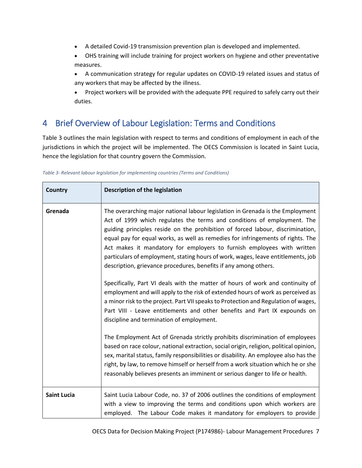- A detailed Covid-19 transmission prevention plan is developed and implemented.
- OHS training will include training for project workers on hygiene and other preventative measures.
- A communication strategy for regular updates on COVID-19 related issues and status of any workers that may be affected by the illness.
- Project workers will be provided with the adequate PPE required to safely carry out their duties.

## <span id="page-7-0"></span>4 Brief Overview of Labour Legislation: Terms and Conditions

[Table 3](#page-7-1) outlines the main legislation with respect to terms and conditions of employment in each of the jurisdictions in which the project will be implemented. The OECS Commission is located in Saint Lucia, hence the legislation for that country govern the Commission.

<span id="page-7-1"></span>

| Table 3- Relevant labour legislation for implementing countries (Terms and Conditions) |  |
|----------------------------------------------------------------------------------------|--|
|----------------------------------------------------------------------------------------|--|

| <b>Country</b>     | Description of the legislation                                                                                                                                                                                                                                                                                                                                                                                                                                                                                                                                                                                                                                                                                                                                                                                                                                                                                                                                                                                                                                                                                                                                                                                           |
|--------------------|--------------------------------------------------------------------------------------------------------------------------------------------------------------------------------------------------------------------------------------------------------------------------------------------------------------------------------------------------------------------------------------------------------------------------------------------------------------------------------------------------------------------------------------------------------------------------------------------------------------------------------------------------------------------------------------------------------------------------------------------------------------------------------------------------------------------------------------------------------------------------------------------------------------------------------------------------------------------------------------------------------------------------------------------------------------------------------------------------------------------------------------------------------------------------------------------------------------------------|
| Grenada            | The overarching major national labour legislation in Grenada is the Employment<br>Act of 1999 which regulates the terms and conditions of employment. The<br>guiding principles reside on the prohibition of forced labour, discrimination,<br>equal pay for equal works, as well as remedies for infringements of rights. The<br>Act makes it mandatory for employers to furnish employees with written<br>particulars of employment, stating hours of work, wages, leave entitlements, job<br>description, grievance procedures, benefits if any among others.<br>Specifically, Part VI deals with the matter of hours of work and continuity of<br>employment and will apply to the risk of extended hours of work as perceived as<br>a minor risk to the project. Part VII speaks to Protection and Regulation of wages,<br>Part VIII - Leave entitlements and other benefits and Part IX expounds on<br>discipline and termination of employment.<br>The Employment Act of Grenada strictly prohibits discrimination of employees<br>based on race colour, national extraction, social origin, religion, political opinion,<br>sex, marital status, family responsibilities or disability. An employee also has the |
|                    | right, by law, to remove himself or herself from a work situation which he or she<br>reasonably believes presents an imminent or serious danger to life or health.                                                                                                                                                                                                                                                                                                                                                                                                                                                                                                                                                                                                                                                                                                                                                                                                                                                                                                                                                                                                                                                       |
| <b>Saint Lucia</b> | Saint Lucia Labour Code, no. 37 of 2006 outlines the conditions of employment<br>with a view to improving the terms and conditions upon which workers are<br>employed. The Labour Code makes it mandatory for employers to provide                                                                                                                                                                                                                                                                                                                                                                                                                                                                                                                                                                                                                                                                                                                                                                                                                                                                                                                                                                                       |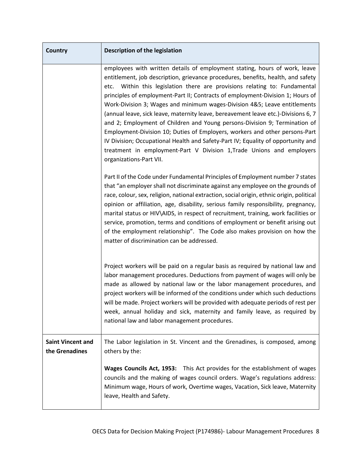| <b>Country</b>                             | Description of the legislation                                                                                                                                                                                                                                                                                                                                                                                                                                                                                                                                                                                                                                                                                                                                                                                                                         |
|--------------------------------------------|--------------------------------------------------------------------------------------------------------------------------------------------------------------------------------------------------------------------------------------------------------------------------------------------------------------------------------------------------------------------------------------------------------------------------------------------------------------------------------------------------------------------------------------------------------------------------------------------------------------------------------------------------------------------------------------------------------------------------------------------------------------------------------------------------------------------------------------------------------|
|                                            | employees with written details of employment stating, hours of work, leave<br>entitlement, job description, grievance procedures, benefits, health, and safety<br>etc. Within this legislation there are provisions relating to: Fundamental<br>principles of employment-Part II; Contracts of employment-Division 1; Hours of<br>Work-Division 3; Wages and minimum wages-Division 4&5; Leave entitlements<br>(annual leave, sick leave, maternity leave, bereavement leave etc.)-Divisions 6, 7<br>and 2; Employment of Children and Young persons-Division 9; Termination of<br>Employment-Division 10; Duties of Employers, workers and other persons-Part<br>IV Division; Occupational Health and Safety-Part IV; Equality of opportunity and<br>treatment in employment-Part V Division 1, Trade Unions and employers<br>organizations-Part VII. |
|                                            | Part II of the Code under Fundamental Principles of Employment number 7 states<br>that "an employer shall not discriminate against any employee on the grounds of<br>race, colour, sex, religion, national extraction, social origin, ethnic origin, political<br>opinion or affiliation, age, disability, serious family responsibility, pregnancy,<br>marital status or HIV\AIDS, in respect of recruitment, training, work facilities or<br>service, promotion, terms and conditions of employment or benefit arising out<br>of the employment relationship". The Code also makes provision on how the<br>matter of discrimination can be addressed.                                                                                                                                                                                                |
|                                            | Project workers will be paid on a regular basis as required by national law and<br>labor management procedures. Deductions from payment of wages will only be<br>made as allowed by national law or the labor management procedures, and<br>project workers will be informed of the conditions under which such deductions<br>will be made. Project workers will be provided with adequate periods of rest per<br>week, annual holiday and sick, maternity and family leave, as required by<br>national law and labor management procedures.                                                                                                                                                                                                                                                                                                           |
| <b>Saint Vincent and</b><br>the Grenadines | The Labor legislation in St. Vincent and the Grenadines, is composed, among<br>others by the:                                                                                                                                                                                                                                                                                                                                                                                                                                                                                                                                                                                                                                                                                                                                                          |
|                                            | Wages Councils Act, 1953: This Act provides for the establishment of wages<br>councils and the making of wages council orders. Wage's regulations address:<br>Minimum wage, Hours of work, Overtime wages, Vacation, Sick leave, Maternity<br>leave, Health and Safety.                                                                                                                                                                                                                                                                                                                                                                                                                                                                                                                                                                                |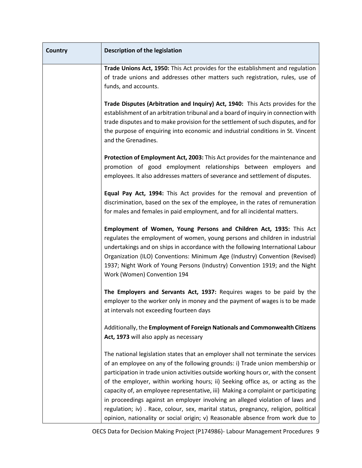| <b>Country</b> | Description of the legislation                                                                                                                                                                                                                                                                                                                                                                                                                                                                                                                                                                                                                                                          |
|----------------|-----------------------------------------------------------------------------------------------------------------------------------------------------------------------------------------------------------------------------------------------------------------------------------------------------------------------------------------------------------------------------------------------------------------------------------------------------------------------------------------------------------------------------------------------------------------------------------------------------------------------------------------------------------------------------------------|
|                | Trade Unions Act, 1950: This Act provides for the establishment and regulation<br>of trade unions and addresses other matters such registration, rules, use of<br>funds, and accounts.                                                                                                                                                                                                                                                                                                                                                                                                                                                                                                  |
|                | Trade Disputes (Arbitration and Inquiry) Act, 1940: This Acts provides for the<br>establishment of an arbitration tribunal and a board of inquiry in connection with<br>trade disputes and to make provision for the settlement of such disputes, and for<br>the purpose of enquiring into economic and industrial conditions in St. Vincent<br>and the Grenadines.                                                                                                                                                                                                                                                                                                                     |
|                | Protection of Employment Act, 2003: This Act provides for the maintenance and<br>promotion of good employment relationships between employers and<br>employees. It also addresses matters of severance and settlement of disputes.                                                                                                                                                                                                                                                                                                                                                                                                                                                      |
|                | Equal Pay Act, 1994: This Act provides for the removal and prevention of<br>discrimination, based on the sex of the employee, in the rates of remuneration<br>for males and females in paid employment, and for all incidental matters.                                                                                                                                                                                                                                                                                                                                                                                                                                                 |
|                | Employment of Women, Young Persons and Children Act, 1935: This Act<br>regulates the employment of women, young persons and children in industrial<br>undertakings and on ships in accordance with the following International Labour<br>Organization (ILO) Conventions: Minimum Age (Industry) Convention (Revised)<br>1937; Night Work of Young Persons (Industry) Convention 1919; and the Night<br>Work (Women) Convention 194                                                                                                                                                                                                                                                      |
|                | The Employers and Servants Act, 1937: Requires wages to be paid by the<br>employer to the worker only in money and the payment of wages is to be made<br>at intervals not exceeding fourteen days                                                                                                                                                                                                                                                                                                                                                                                                                                                                                       |
|                | Additionally, the Employment of Foreign Nationals and Commonwealth Citizens<br>Act, 1973 will also apply as necessary                                                                                                                                                                                                                                                                                                                                                                                                                                                                                                                                                                   |
|                | The national legislation states that an employer shall not terminate the services<br>of an employee on any of the following grounds: i) Trade union membership or<br>participation in trade union activities outside working hours or, with the consent<br>of the employer, within working hours; ii) Seeking office as, or acting as the<br>capacity of, an employee representative, iii) Making a complaint or participating<br>in proceedings against an employer involving an alleged violation of laws and<br>regulation; iv) . Race, colour, sex, marital status, pregnancy, religion, political<br>opinion, nationality or social origin; v) Reasonable absence from work due to |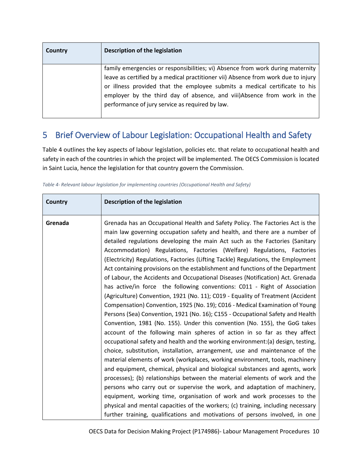| Country | Description of the legislation                                                                                                                                                                                                                                                                                                                                                  |
|---------|---------------------------------------------------------------------------------------------------------------------------------------------------------------------------------------------------------------------------------------------------------------------------------------------------------------------------------------------------------------------------------|
|         | family emergencies or responsibilities; vi) Absence from work during maternity<br>leave as certified by a medical practitioner vii) Absence from work due to injury<br>or illness provided that the employee submits a medical certificate to his<br>employer by the third day of absence, and viii)Absence from work in the<br>performance of jury service as required by law. |

# <span id="page-10-0"></span>5 Brief Overview of Labour Legislation: Occupational Health and Safety

[Table 4](#page-10-1) outlines the key aspects of labour legislation, policies etc. that relate to occupational health and safety in each of the countries in which the project will be implemented. The OECS Commission is located in Saint Lucia, hence the legislation for that country govern the Commission.

| Country | Description of the legislation                                                                                                                                                                                                                                                                                                                                                                                                                                                                                                                                                                                                                                                                                                                                                                                                                                                                                                                                                                                                                                                                                                                                                                                                                                                                                                                                                                                                                                                                                                                                                                                                                                                                                                                                                                                             |
|---------|----------------------------------------------------------------------------------------------------------------------------------------------------------------------------------------------------------------------------------------------------------------------------------------------------------------------------------------------------------------------------------------------------------------------------------------------------------------------------------------------------------------------------------------------------------------------------------------------------------------------------------------------------------------------------------------------------------------------------------------------------------------------------------------------------------------------------------------------------------------------------------------------------------------------------------------------------------------------------------------------------------------------------------------------------------------------------------------------------------------------------------------------------------------------------------------------------------------------------------------------------------------------------------------------------------------------------------------------------------------------------------------------------------------------------------------------------------------------------------------------------------------------------------------------------------------------------------------------------------------------------------------------------------------------------------------------------------------------------------------------------------------------------------------------------------------------------|
| Grenada | Grenada has an Occupational Health and Safety Policy. The Factories Act is the<br>main law governing occupation safety and health, and there are a number of<br>detailed regulations developing the main Act such as the Factories (Sanitary<br>Accommodation) Regulations, Factories (Welfare) Regulations, Factories<br>(Electricity) Regulations, Factories (Lifting Tackle) Regulations, the Employment<br>Act containing provisions on the establishment and functions of the Department<br>of Labour, the Accidents and Occupational Diseases (Notification) Act. Grenada<br>has active/in force the following conventions: C011 - Right of Association<br>(Agriculture) Convention, 1921 (No. 11); C019 - Equality of Treatment (Accident<br>Compensation) Convention, 1925 (No. 19); C016 - Medical Examination of Young<br>Persons (Sea) Convention, 1921 (No. 16); C155 - Occupational Safety and Health<br>Convention, 1981 (No. 155). Under this convention (No. 155), the GoG takes<br>account of the following main spheres of action in so far as they affect<br>occupational safety and health and the working environment: (a) design, testing,<br>choice, substitution, installation, arrangement, use and maintenance of the<br>material elements of work (workplaces, working environment, tools, machinery<br>and equipment, chemical, physical and biological substances and agents, work<br>processes); (b) relationships between the material elements of work and the<br>persons who carry out or supervise the work, and adaptation of machinery,<br>equipment, working time, organisation of work and work processes to the<br>physical and mental capacities of the workers; (c) training, including necessary<br>further training, qualifications and motivations of persons involved, in one |

<span id="page-10-1"></span>*Table 4- Relevant labour legislation for implementing countries (Occupational Health and Safety)*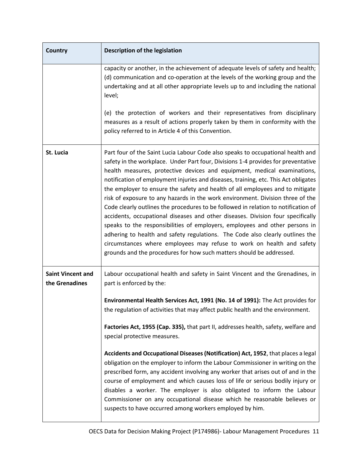| <b>Country</b>                             | Description of the legislation                                                                                                                                                                                                                                                                                                                                                                                                                                                                                                                                                                                                                                                                                                                                                                                                                                                                                                                                                                       |  |  |  |
|--------------------------------------------|------------------------------------------------------------------------------------------------------------------------------------------------------------------------------------------------------------------------------------------------------------------------------------------------------------------------------------------------------------------------------------------------------------------------------------------------------------------------------------------------------------------------------------------------------------------------------------------------------------------------------------------------------------------------------------------------------------------------------------------------------------------------------------------------------------------------------------------------------------------------------------------------------------------------------------------------------------------------------------------------------|--|--|--|
|                                            | capacity or another, in the achievement of adequate levels of safety and health;<br>(d) communication and co-operation at the levels of the working group and the<br>undertaking and at all other appropriate levels up to and including the national<br>level;<br>(e) the protection of workers and their representatives from disciplinary<br>measures as a result of actions properly taken by them in conformity with the<br>policy referred to in Article 4 of this Convention.                                                                                                                                                                                                                                                                                                                                                                                                                                                                                                                 |  |  |  |
| St. Lucia                                  | Part four of the Saint Lucia Labour Code also speaks to occupational health and<br>safety in the workplace. Under Part four, Divisions 1-4 provides for preventative<br>health measures, protective devices and equipment, medical examinations,<br>notification of employment injuries and diseases, training, etc. This Act obligates<br>the employer to ensure the safety and health of all employees and to mitigate<br>risk of exposure to any hazards in the work environment. Division three of the<br>Code clearly outlines the procedures to be followed in relation to notification of<br>accidents, occupational diseases and other diseases. Division four specifically<br>speaks to the responsibilities of employers, employees and other persons in<br>adhering to health and safety regulations. The Code also clearly outlines the<br>circumstances where employees may refuse to work on health and safety<br>grounds and the procedures for how such matters should be addressed. |  |  |  |
| <b>Saint Vincent and</b><br>the Grenadines | Labour occupational health and safety in Saint Vincent and the Grenadines, in<br>part is enforced by the:<br>Environmental Health Services Act, 1991 (No. 14 of 1991): The Act provides for<br>the regulation of activities that may affect public health and the environment.<br>Factories Act, 1955 (Cap. 335), that part II, addresses health, safety, welfare and<br>special protective measures.<br>Accidents and Occupational Diseases (Notification) Act, 1952, that places a legal<br>obligation on the employer to inform the Labour Commissioner in writing on the<br>prescribed form, any accident involving any worker that arises out of and in the<br>course of employment and which causes loss of life or serious bodily injury or<br>disables a worker. The employer is also obligated to inform the Labour<br>Commissioner on any occupational disease which he reasonable believes or<br>suspects to have occurred among workers employed by him.                                 |  |  |  |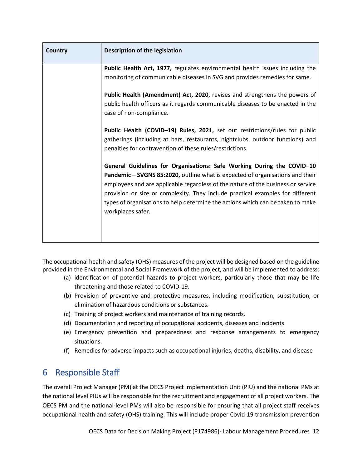| <b>Country</b> | Description of the legislation                                                                                                                                                                                                                                                                                                                                                                                                        |
|----------------|---------------------------------------------------------------------------------------------------------------------------------------------------------------------------------------------------------------------------------------------------------------------------------------------------------------------------------------------------------------------------------------------------------------------------------------|
|                | Public Health Act, 1977, regulates environmental health issues including the                                                                                                                                                                                                                                                                                                                                                          |
|                | monitoring of communicable diseases in SVG and provides remedies for same.                                                                                                                                                                                                                                                                                                                                                            |
|                | Public Health (Amendment) Act, 2020, revises and strengthens the powers of<br>public health officers as it regards communicable diseases to be enacted in the<br>case of non-compliance.                                                                                                                                                                                                                                              |
|                | Public Health (COVID-19) Rules, 2021, set out restrictions/rules for public<br>gatherings (including at bars, restaurants, nightclubs, outdoor functions) and<br>penalties for contravention of these rules/restrictions.                                                                                                                                                                                                             |
|                | General Guidelines for Organisations: Safe Working During the COVID-10<br>Pandemic - SVGNS 85:2020, outline what is expected of organisations and their<br>employees and are applicable regardless of the nature of the business or service<br>provision or size or complexity. They include practical examples for different<br>types of organisations to help determine the actions which can be taken to make<br>workplaces safer. |

The occupational health and safety (OHS) measures of the project will be designed based on the guideline provided in the Environmental and Social Framework of the project, and will be implemented to address:

- (a) identification of potential hazards to project workers, particularly those that may be life threatening and those related to COVID-19.
- (b) Provision of preventive and protective measures, including modification, substitution, or elimination of hazardous conditions or substances.
- (c) Training of project workers and maintenance of training records.
- (d) Documentation and reporting of occupational accidents, diseases and incidents
- (e) Emergency prevention and preparedness and response arrangements to emergency situations.
- (f) Remedies for adverse impacts such as occupational injuries, deaths, disability, and disease

## <span id="page-12-0"></span>6 Responsible Staff

The overall Project Manager (PM) at the OECS Project Implementation Unit (PIU) and the national PMs at the national level PIUs will be responsible for the recruitment and engagement of all project workers. The OECS PM and the national-level PMs will also be responsible for ensuring that all project staff receives occupational health and safety (OHS) training. This will include proper Covid-19 transmission prevention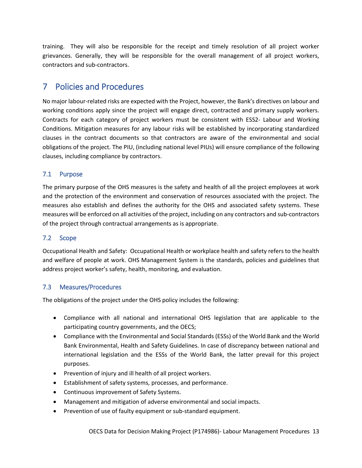training. They will also be responsible for the receipt and timely resolution of all project worker grievances. Generally, they will be responsible for the overall management of all project workers, contractors and sub-contractors.

## <span id="page-13-0"></span>7 Policies and Procedures

No major labour-related risks are expected with the Project, however, the Bank's directives on labour and working conditions apply since the project will engage direct, contracted and primary supply workers. Contracts for each category of project workers must be consistent with ESS2- Labour and Working Conditions. Mitigation measures for any labour risks will be established by incorporating standardized clauses in the contract documents so that contractors are aware of the environmental and social obligations of the project. The PIU, (including national level PIUs) will ensure compliance of the following clauses, including compliance by contractors.

#### <span id="page-13-1"></span>7.1 Purpose

The primary purpose of the OHS measures is the safety and health of all the project employees at work and the protection of the environment and conservation of resources associated with the project. The measures also establish and defines the authority for the OHS and associated safety systems. These measures will be enforced on all activities of the project, including on any contractors and sub-contractors of the project through contractual arrangements as is appropriate.

#### <span id="page-13-2"></span>7.2 Scope

Occupational Health and Safety: Occupational Health or workplace health and safety refers to the health and welfare of people at work. OHS Management System is the standards, policies and guidelines that address project worker's safety, health, monitoring, and evaluation.

#### <span id="page-13-3"></span>7.3 Measures/Procedures

The obligations of the project under the OHS policy includes the following:

- Compliance with all national and international OHS legislation that are applicable to the participating country governments, and the OECS;
- Compliance with the Environmental and Social Standards (ESSs) of the World Bank and the World Bank Environmental, Health and Safety Guidelines. In case of discrepancy between national and international legislation and the ESSs of the World Bank, the latter prevail for this project purposes.
- Prevention of injury and ill health of all project workers.
- Establishment of safety systems, processes, and performance.
- Continuous improvement of Safety Systems.
- Management and mitigation of adverse environmental and social impacts.
- Prevention of use of faulty equipment or sub-standard equipment.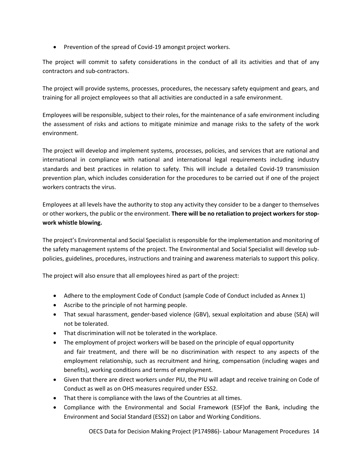• Prevention of the spread of Covid-19 amongst project workers.

The project will commit to safety considerations in the conduct of all its activities and that of any contractors and sub-contractors.

The project will provide systems, processes, procedures, the necessary safety equipment and gears, and training for all project employees so that all activities are conducted in a safe environment.

Employees will be responsible, subject to their roles, for the maintenance of a safe environment including the assessment of risks and actions to mitigate minimize and manage risks to the safety of the work environment.

The project will develop and implement systems, processes, policies, and services that are national and international in compliance with national and international legal requirements including industry standards and best practices in relation to safety. This will include a detailed Covid-19 transmission prevention plan, which includes consideration for the procedures to be carried out if one of the project workers contracts the virus.

Employees at all levels have the authority to stop any activity they consider to be a danger to themselves or other workers, the public or the environment. **There will be no retaliation to project workers for stopwork whistle blowing.**

The project's Environmental and Social Specialist is responsible for the implementation and monitoring of the safety management systems of the project. The Environmental and Social Specialist will develop subpolicies, guidelines, procedures, instructions and training and awareness materials to support this policy.

The project will also ensure that all employees hired as part of the project:

- Adhere to the employment Code of Conduct (sample Code of Conduct included as Annex 1)
- Ascribe to the principle of not harming people.
- That sexual harassment, gender-based violence (GBV), sexual exploitation and abuse (SEA) will not be tolerated.
- That discrimination will not be tolerated in the workplace.
- The employment of project workers will be based on the principle of equal opportunity and fair treatment, and there will be no discrimination with respect to any aspects of the employment relationship, such as recruitment and hiring, compensation (including wages and benefits), working conditions and terms of employment.
- Given that there are direct workers under PIU, the PIU will adapt and receive training on Code of Conduct as well as on OHS measures required under ESS2.
- That there is compliance with the laws of the Countries at all times.
- Compliance with the Environmental and Social Framework (ESF)of the Bank, including the Environment and Social Standard (ESS2) on Labor and Working Conditions.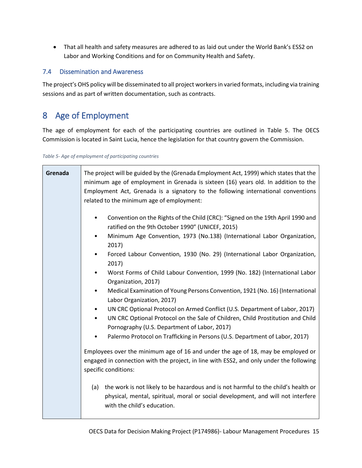That all health and safety measures are adhered to as laid out under the World Bank's ESS2 on Labor and Working Conditions and for on Community Health and Safety.

#### <span id="page-15-0"></span>7.4 Dissemination and Awareness

The project's OHS policy will be disseminated to all project workers in varied formats, including via training sessions and as part of written documentation, such as contracts.

## <span id="page-15-1"></span>8 Age of Employment

The age of employment for each of the participating countries are outlined in [Table 5.](#page-15-2) The OECS Commission is located in Saint Lucia, hence the legislation for that country govern the Commission.

<span id="page-15-2"></span>*Table 5- Age of employment of participating countries*

| Grenada | The project will be guided by the (Grenada Employment Act, 1999) which states that the<br>minimum age of employment in Grenada is sixteen (16) years old. In addition to the<br>Employment Act, Grenada is a signatory to the following international conventions<br>related to the minimum age of employment:              |  |  |  |  |
|---------|-----------------------------------------------------------------------------------------------------------------------------------------------------------------------------------------------------------------------------------------------------------------------------------------------------------------------------|--|--|--|--|
|         | Convention on the Rights of the Child (CRC): "Signed on the 19th April 1990 and<br>$\bullet$<br>ratified on the 9th October 1990" (UNICEF, 2015)<br>Minimum Age Convention, 1973 (No.138) (International Labor Organization,<br>$\bullet$                                                                                   |  |  |  |  |
|         | 2017)<br>Forced Labour Convention, 1930 (No. 29) (International Labor Organization,<br>$\bullet$<br>2017)<br>Worst Forms of Child Labour Convention, 1999 (No. 182) (International Labor<br>$\bullet$                                                                                                                       |  |  |  |  |
|         | Organization, 2017)<br>Medical Examination of Young Persons Convention, 1921 (No. 16) (International<br>$\bullet$<br>Labor Organization, 2017)                                                                                                                                                                              |  |  |  |  |
|         | UN CRC Optional Protocol on Armed Conflict (U.S. Department of Labor, 2017)<br>$\bullet$<br>UN CRC Optional Protocol on the Sale of Children, Child Prostitution and Child<br>٠<br>Pornography (U.S. Department of Labor, 2017)<br>Palermo Protocol on Trafficking in Persons (U.S. Department of Labor, 2017)<br>$\bullet$ |  |  |  |  |
|         | Employees over the minimum age of 16 and under the age of 18, may be employed or<br>engaged in connection with the project, in line with ESS2, and only under the following<br>specific conditions:                                                                                                                         |  |  |  |  |
|         | the work is not likely to be hazardous and is not harmful to the child's health or<br>(a)<br>physical, mental, spiritual, moral or social development, and will not interfere<br>with the child's education.                                                                                                                |  |  |  |  |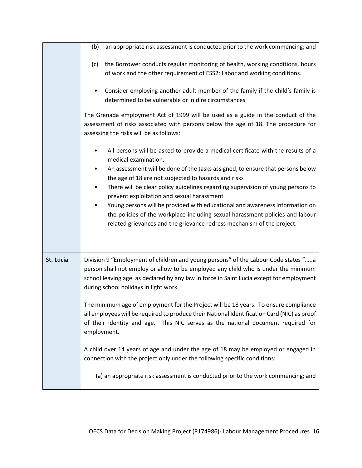|           | an appropriate risk assessment is conducted prior to the work commencing; and<br>(b)                                                                                                                                                                                                                         |
|-----------|--------------------------------------------------------------------------------------------------------------------------------------------------------------------------------------------------------------------------------------------------------------------------------------------------------------|
|           | the Borrower conducts regular monitoring of health, working conditions, hours<br>(c)<br>of work and the other requirement of ESS2: Labor and working conditions.                                                                                                                                             |
|           | Consider employing another adult member of the family if the child's family is<br>determined to be vulnerable or in dire circumstances                                                                                                                                                                       |
|           | The Grenada employment Act of 1999 will be used as a guide in the conduct of the<br>assessment of risks associated with persons below the age of 18. The procedure for<br>assessing the risks will be as follows:                                                                                            |
|           | All persons will be asked to provide a medical certificate with the results of a<br>medical examination.                                                                                                                                                                                                     |
|           | An assessment will be done of the tasks assigned, to ensure that persons below<br>the age of 18 are not subjected to hazards and risks                                                                                                                                                                       |
|           | There will be clear policy guidelines regarding supervision of young persons to<br>٠<br>prevent exploitation and sexual harassment                                                                                                                                                                           |
|           | Young persons will be provided with educational and awareness information on<br>the policies of the workplace including sexual harassment policies and labour<br>related grievances and the grievance redress mechanism of the project.                                                                      |
|           |                                                                                                                                                                                                                                                                                                              |
| St. Lucia | Division 9 "Employment of children and young persons" of the Labour Code states "a<br>person shall not employ or allow to be employed any child who is under the minimum<br>school leaving age as declared by any law in force in Saint Lucia except for employment<br>during school holidays in light work. |
|           | The minimum age of employment for the Project will be 18 years. To ensure compliance<br>all employees will be required to produce their National Identification Card (NIC) as proof<br>of their identity and age. This NIC serves as the national document required for<br>employment.                       |
|           | A child over 14 years of age and under the age of 18 may be employed or engaged in<br>connection with the project only under the following specific conditions:                                                                                                                                              |
|           | (a) an appropriate risk assessment is conducted prior to the work commencing; and                                                                                                                                                                                                                            |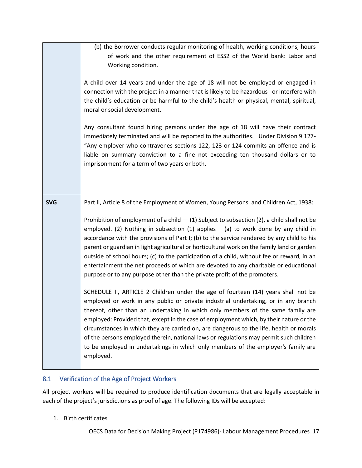|            | (b) the Borrower conducts regular monitoring of health, working conditions, hours<br>of work and the other requirement of ESS2 of the World bank: Labor and<br>Working condition.<br>A child over 14 years and under the age of 18 will not be employed or engaged in<br>connection with the project in a manner that is likely to be hazardous or interfere with<br>the child's education or be harmful to the child's health or physical, mental, spiritual,<br>moral or social development.<br>Any consultant found hiring persons under the age of 18 will have their contract<br>immediately terminated and will be reported to the authorities. Under Division 9 127-<br>"Any employer who contravenes sections 122, 123 or 124 commits an offence and is<br>liable on summary conviction to a fine not exceeding ten thousand dollars or to<br>imprisonment for a term of two years or both.                                                                                                                                                                                                                                                                                                                                                                                                                                                                                        |
|------------|--------------------------------------------------------------------------------------------------------------------------------------------------------------------------------------------------------------------------------------------------------------------------------------------------------------------------------------------------------------------------------------------------------------------------------------------------------------------------------------------------------------------------------------------------------------------------------------------------------------------------------------------------------------------------------------------------------------------------------------------------------------------------------------------------------------------------------------------------------------------------------------------------------------------------------------------------------------------------------------------------------------------------------------------------------------------------------------------------------------------------------------------------------------------------------------------------------------------------------------------------------------------------------------------------------------------------------------------------------------------------------------------|
| <b>SVG</b> | Part II, Article 8 of the Employment of Women, Young Persons, and Children Act, 1938:<br>Prohibition of employment of a child $-$ (1) Subject to subsection (2), a child shall not be<br>employed. (2) Nothing in subsection (1) applies - (a) to work done by any child in<br>accordance with the provisions of Part I; (b) to the service rendered by any child to his<br>parent or guardian in light agricultural or horticultural work on the family land or garden<br>outside of school hours; (c) to the participation of a child, without fee or reward, in an<br>entertainment the net proceeds of which are devoted to any charitable or educational<br>purpose or to any purpose other than the private profit of the promoters.<br>SCHEDULE II, ARTICLE 2 Children under the age of fourteen (14) years shall not be<br>employed or work in any public or private industrial undertaking, or in any branch<br>thereof, other than an undertaking in which only members of the same family are<br>employed: Provided that, except in the case of employment which, by their nature or the<br>circumstances in which they are carried on, are dangerous to the life, health or morals<br>of the persons employed therein, national laws or regulations may permit such children<br>to be employed in undertakings in which only members of the employer's family are<br>employed. |

## <span id="page-17-0"></span>8.1 Verification of the Age of Project Workers

All project workers will be required to produce identification documents that are legally acceptable in each of the project's jurisdictions as proof of age. The following IDs will be accepted:

1. Birth certificates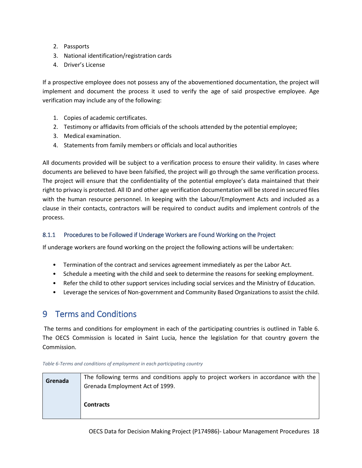- 2. Passports
- 3. National identification/registration cards
- 4. Driver's License

If a prospective employee does not possess any of the abovementioned documentation, the project will implement and document the process it used to verify the age of said prospective employee. Age verification may include any of the following:

- 1. Copies of academic certificates.
- 2. Testimony or affidavits from officials of the schools attended by the potential employee;
- 3. Medical examination.
- 4. Statements from family members or officials and local authorities

All documents provided will be subject to a verification process to ensure their validity. In cases where documents are believed to have been falsified, the project will go through the same verification process. The project will ensure that the confidentiality of the potential employee's data maintained that their right to privacy is protected. All ID and other age verification documentation will be stored in secured files with the human resource personnel. In keeping with the Labour/Employment Acts and included as a clause in their contacts, contractors will be required to conduct audits and implement controls of the process.

#### <span id="page-18-0"></span>8.1.1 Procedures to be Followed if Underage Workers are Found Working on the Project

If underage workers are found working on the project the following actions will be undertaken:

- Termination of the contract and services agreement immediately as per the Labor Act.
- Schedule a meeting with the child and seek to determine the reasons for seeking employment.
- Refer the child to other support services including social services and the Ministry of Education.
- Leverage the services of Non-government and Community Based Organizations to assist the child.

## <span id="page-18-1"></span>9 Terms and Conditions

The terms and conditions for employment in each of the participating countries is outlined in [Table 6.](#page-18-2) The OECS Commission is located in Saint Lucia, hence the legislation for that country govern the Commission.

| Grenada | The following terms and conditions apply to project workers in accordance with the |
|---------|------------------------------------------------------------------------------------|
|         | Grenada Employment Act of 1999.                                                    |
|         |                                                                                    |
|         | <b>Contracts</b>                                                                   |
|         |                                                                                    |

<span id="page-18-2"></span>*Table 6-Terms and conditions of employment in each participating country*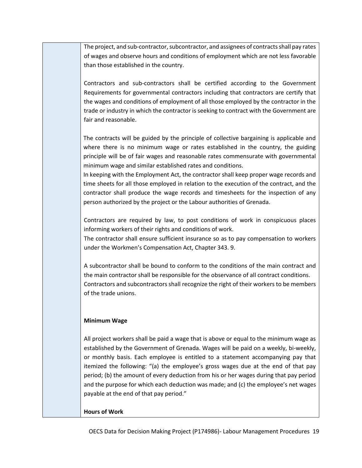The project, and sub-contractor, subcontractor, and assignees of contracts shall pay rates of wages and observe hours and conditions of employment which are not less favorable than those established in the country.

Contractors and sub-contractors shall be certified according to the Government Requirements for governmental contractors including that contractors are certify that the wages and conditions of employment of all those employed by the contractor in the trade or industry in which the contractor is seeking to contract with the Government are fair and reasonable.

The contracts will be guided by the principle of collective bargaining is applicable and where there is no minimum wage or rates established in the country, the guiding principle will be of fair wages and reasonable rates commensurate with governmental minimum wage and similar established rates and conditions.

In keeping with the Employment Act, the contractor shall keep proper wage records and time sheets for all those employed in relation to the execution of the contract, and the contractor shall produce the wage records and timesheets for the inspection of any person authorized by the project or the Labour authorities of Grenada.

Contractors are required by law, to post conditions of work in conspicuous places informing workers of their rights and conditions of work.

The contractor shall ensure sufficient insurance so as to pay compensation to workers under the Workmen's Compensation Act, Chapter 343. 9.

A subcontractor shall be bound to conform to the conditions of the main contract and the main contractor shall be responsible for the observance of all contract conditions. Contractors and subcontractors shall recognize the right of their workers to be members of the trade unions.

#### **Minimum Wage**

All project workers shall be paid a wage that is above or equal to the minimum wage as established by the Government of Grenada. Wages will be paid on a weekly, bi-weekly, or monthly basis. Each employee is entitled to a statement accompanying pay that itemized the following: "(a) the employee's gross wages due at the end of that pay period; (b) the amount of every deduction from his or her wages during that pay period and the purpose for which each deduction was made; and (c) the employee's net wages payable at the end of that pay period."

#### **Hours of Work**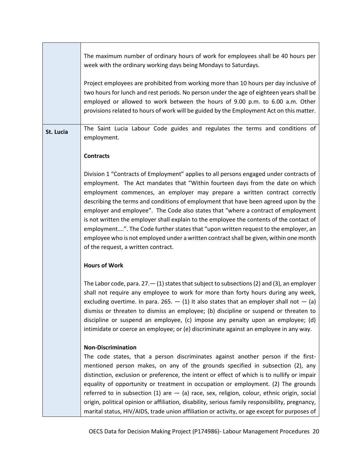|           | The maximum number of ordinary hours of work for employees shall be 40 hours per<br>week with the ordinary working days being Mondays to Saturdays.                                                                                                                                                                                                                                                                                                                                                                                                                                                                                                                                                                                                    |
|-----------|--------------------------------------------------------------------------------------------------------------------------------------------------------------------------------------------------------------------------------------------------------------------------------------------------------------------------------------------------------------------------------------------------------------------------------------------------------------------------------------------------------------------------------------------------------------------------------------------------------------------------------------------------------------------------------------------------------------------------------------------------------|
|           | Project employees are prohibited from working more than 10 hours per day inclusive of<br>two hours for lunch and rest periods. No person under the age of eighteen years shall be<br>employed or allowed to work between the hours of 9.00 p.m. to 6.00 a.m. Other<br>provisions related to hours of work will be guided by the Employment Act on this matter.                                                                                                                                                                                                                                                                                                                                                                                         |
| St. Lucia | The Saint Lucia Labour Code guides and regulates the terms and conditions of<br>employment.                                                                                                                                                                                                                                                                                                                                                                                                                                                                                                                                                                                                                                                            |
|           | <b>Contracts</b>                                                                                                                                                                                                                                                                                                                                                                                                                                                                                                                                                                                                                                                                                                                                       |
|           | Division 1 "Contracts of Employment" applies to all persons engaged under contracts of<br>employment. The Act mandates that "Within fourteen days from the date on which<br>employment commences, an employer may prepare a written contract correctly<br>describing the terms and conditions of employment that have been agreed upon by the<br>employer and employee". The Code also states that "where a contract of employment<br>is not written the employer shall explain to the employee the contents of the contact of<br>employment". The Code further states that "upon written request to the employer, an<br>employee who is not employed under a written contract shall be given, within one month<br>of the request, a written contract. |
|           | <b>Hours of Work</b>                                                                                                                                                                                                                                                                                                                                                                                                                                                                                                                                                                                                                                                                                                                                   |
|           | The Labor code, para. $27 - (1)$ states that subject to subsections (2) and (3), an employer<br>shall not require any employee to work for more than forty hours during any week,<br>excluding overtime. In para. 265. $-$ (1) It also states that an employer shall not $-$ (a)<br>dismiss or threaten to dismiss an employee; (b) discipline or suspend or threaten to<br>discipline or suspend an employee, (c) impose any penalty upon an employee; (d)<br>intimidate or coerce an employee; or (e) discriminate against an employee in any way.                                                                                                                                                                                                   |
|           | <b>Non-Discrimination</b><br>The code states, that a person discriminates against another person if the first-<br>mentioned person makes, on any of the grounds specified in subsection (2), any<br>distinction, exclusion or preference, the intent or effect of which is to nullify or impair<br>equality of opportunity or treatment in occupation or employment. (2) The grounds<br>referred to in subsection (1) are $-$ (a) race, sex, religion, colour, ethnic origin, social<br>origin, political opinion or affiliation, disability, serious family responsibility, pregnancy,<br>marital status, HIV/AIDS, trade union affiliation or activity, or age except for purposes of                                                                |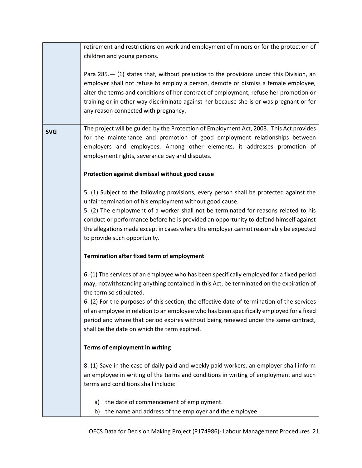|                                                                                                                       | retirement and restrictions on work and employment of minors or for the protection of      |  |  |  |  |
|-----------------------------------------------------------------------------------------------------------------------|--------------------------------------------------------------------------------------------|--|--|--|--|
|                                                                                                                       | children and young persons.                                                                |  |  |  |  |
|                                                                                                                       |                                                                                            |  |  |  |  |
|                                                                                                                       | Para 285. - (1) states that, without prejudice to the provisions under this Division, an   |  |  |  |  |
|                                                                                                                       |                                                                                            |  |  |  |  |
|                                                                                                                       | employer shall not refuse to employ a person, demote or dismiss a female employee,         |  |  |  |  |
|                                                                                                                       | alter the terms and conditions of her contract of employment, refuse her promotion or      |  |  |  |  |
|                                                                                                                       | training or in other way discriminate against her because she is or was pregnant or for    |  |  |  |  |
|                                                                                                                       | any reason connected with pregnancy.                                                       |  |  |  |  |
|                                                                                                                       |                                                                                            |  |  |  |  |
| <b>SVG</b>                                                                                                            | The project will be guided by the Protection of Employment Act, 2003. This Act provides    |  |  |  |  |
|                                                                                                                       | for the maintenance and promotion of good employment relationships between                 |  |  |  |  |
|                                                                                                                       | employers and employees. Among other elements, it addresses promotion of                   |  |  |  |  |
|                                                                                                                       | employment rights, severance pay and disputes.                                             |  |  |  |  |
|                                                                                                                       |                                                                                            |  |  |  |  |
|                                                                                                                       | Protection against dismissal without good cause                                            |  |  |  |  |
|                                                                                                                       |                                                                                            |  |  |  |  |
|                                                                                                                       | 5. (1) Subject to the following provisions, every person shall be protected against the    |  |  |  |  |
|                                                                                                                       | unfair termination of his employment without good cause.                                   |  |  |  |  |
|                                                                                                                       | 5. (2) The employment of a worker shall not be terminated for reasons related to his       |  |  |  |  |
| conduct or performance before he is provided an opportunity to defend himself against                                 |                                                                                            |  |  |  |  |
| the allegations made except in cases where the employer cannot reasonably be expected<br>to provide such opportunity. |                                                                                            |  |  |  |  |
|                                                                                                                       |                                                                                            |  |  |  |  |
|                                                                                                                       | Termination after fixed term of employment                                                 |  |  |  |  |
|                                                                                                                       |                                                                                            |  |  |  |  |
|                                                                                                                       | 6. (1) The services of an employee who has been specifically employed for a fixed period   |  |  |  |  |
|                                                                                                                       | may, notwithstanding anything contained in this Act, be terminated on the expiration of    |  |  |  |  |
|                                                                                                                       | the term so stipulated.                                                                    |  |  |  |  |
|                                                                                                                       | 6. (2) For the purposes of this section, the effective date of termination of the services |  |  |  |  |
|                                                                                                                       | of an employee in relation to an employee who has been specifically employed for a fixed   |  |  |  |  |
|                                                                                                                       |                                                                                            |  |  |  |  |
|                                                                                                                       | period and where that period expires without being renewed under the same contract,        |  |  |  |  |
|                                                                                                                       | shall be the date on which the term expired.                                               |  |  |  |  |
|                                                                                                                       |                                                                                            |  |  |  |  |
|                                                                                                                       | Terms of employment in writing                                                             |  |  |  |  |
|                                                                                                                       |                                                                                            |  |  |  |  |
|                                                                                                                       | 8. (1) Save in the case of daily paid and weekly paid workers, an employer shall inform    |  |  |  |  |
|                                                                                                                       | an employee in writing of the terms and conditions in writing of employment and such       |  |  |  |  |
|                                                                                                                       | terms and conditions shall include:                                                        |  |  |  |  |
|                                                                                                                       |                                                                                            |  |  |  |  |
|                                                                                                                       | the date of commencement of employment.<br>a)                                              |  |  |  |  |
|                                                                                                                       | the name and address of the employer and the employee.<br>b)                               |  |  |  |  |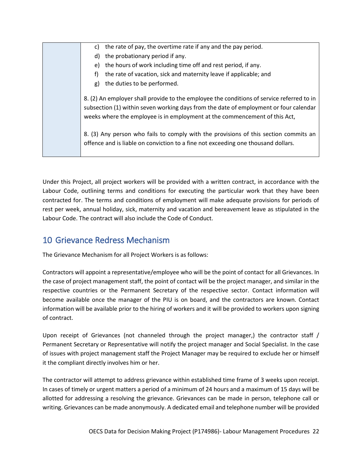| the rate of pay, the overtime rate if any and the pay period.<br>C)                                                                                                                                                                                                                                                                                                                                                                           |
|-----------------------------------------------------------------------------------------------------------------------------------------------------------------------------------------------------------------------------------------------------------------------------------------------------------------------------------------------------------------------------------------------------------------------------------------------|
| the probationary period if any.<br>d)                                                                                                                                                                                                                                                                                                                                                                                                         |
| the hours of work including time off and rest period, if any.<br>e)                                                                                                                                                                                                                                                                                                                                                                           |
| the rate of vacation, sick and maternity leave if applicable; and<br>f)                                                                                                                                                                                                                                                                                                                                                                       |
| the duties to be performed.<br>g)                                                                                                                                                                                                                                                                                                                                                                                                             |
| 8. (2) An employer shall provide to the employee the conditions of service referred to in<br>subsection (1) within seven working days from the date of employment or four calendar<br>weeks where the employee is in employment at the commencement of this Act,<br>8. (3) Any person who fails to comply with the provisions of this section commits an<br>offence and is liable on conviction to a fine not exceeding one thousand dollars. |

Under this Project, all project workers will be provided with a written contract, in accordance with the Labour Code, outlining terms and conditions for executing the particular work that they have been contracted for. The terms and conditions of employment will make adequate provisions for periods of rest per week, annual holiday, sick, maternity and vacation and bereavement leave as stipulated in the Labour Code. The contract will also include the Code of Conduct.

## <span id="page-22-0"></span>10 Grievance Redress Mechanism

The Grievance Mechanism for all Project Workers is as follows:

Contractors will appoint a representative/employee who will be the point of contact for all Grievances. In the case of project management staff, the point of contact will be the project manager, and similar in the respective countries or the Permanent Secretary of the respective sector. Contact information will become available once the manager of the PIU is on board, and the contractors are known. Contact information will be available prior to the hiring of workers and it will be provided to workers upon signing of contract.

Upon receipt of Grievances (not channeled through the project manager,) the contractor staff / Permanent Secretary or Representative will notify the project manager and Social Specialist. In the case of issues with project management staff the Project Manager may be required to exclude her or himself it the compliant directly involves him or her.

The contractor will attempt to address grievance within established time frame of 3 weeks upon receipt. In cases of timely or urgent matters a period of a minimum of 24 hours and a maximum of 15 days will be allotted for addressing a resolving the grievance. Grievances can be made in person, telephone call or writing. Grievances can be made anonymously. A dedicated email and telephone number will be provided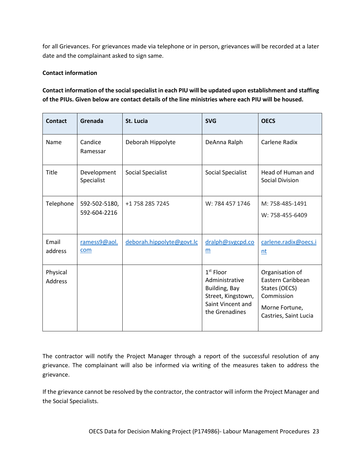for all Grievances. For grievances made via telephone or in person, grievances will be recorded at a later date and the complainant asked to sign same.

#### **Contact information**

#### **Contact information of the social specialist in each PIU will be updated upon establishment and staffing of the PIUs. Given below are contact details of the line ministries where each PIU will be housed.**

| <b>Contact</b>      | Grenada                       | St. Lucia                 | <b>SVG</b>                                                                                                  | <b>OECS</b>                                                                                                    |
|---------------------|-------------------------------|---------------------------|-------------------------------------------------------------------------------------------------------------|----------------------------------------------------------------------------------------------------------------|
| Name                | Candice<br>Ramessar           | Deborah Hippolyte         | DeAnna Ralph                                                                                                | Carlene Radix                                                                                                  |
| Title               | Development<br>Specialist     | <b>Social Specialist</b>  | Social Specialist                                                                                           | Head of Human and<br>Social Division                                                                           |
| Telephone           | 592-502-5180,<br>592-604-2216 | +1 758 285 7245           | W: 784 457 1746                                                                                             | M: 758-485-1491<br>W: 758-455-6409                                                                             |
| Email<br>address    | ramess9@aol.<br>com           | deborah.hippolyte@govt.lc | dralph@svgcpd.co<br>m                                                                                       | carlene.radix@oecs.i<br>nt                                                                                     |
| Physical<br>Address |                               |                           | $1st$ Floor<br>Administrative<br>Building, Bay<br>Street, Kingstown,<br>Saint Vincent and<br>the Grenadines | Organisation of<br>Eastern Caribbean<br>States (OECS)<br>Commission<br>Morne Fortune,<br>Castries, Saint Lucia |

The contractor will notify the Project Manager through a report of the successful resolution of any grievance. The complainant will also be informed via writing of the measures taken to address the grievance.

If the grievance cannot be resolved by the contractor, the contractor will inform the Project Manager and the Social Specialists.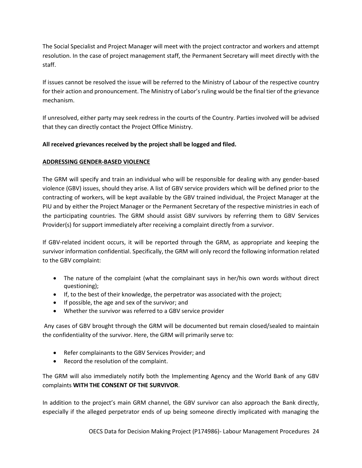The Social Specialist and Project Manager will meet with the project contractor and workers and attempt resolution. In the case of project management staff, the Permanent Secretary will meet directly with the staff.

If issues cannot be resolved the issue will be referred to the Ministry of Labour of the respective country for their action and pronouncement. The Ministry of Labor's ruling would be the final tier of the grievance mechanism.

If unresolved, either party may seek redress in the courts of the Country. Parties involved will be advised that they can directly contact the Project Office Ministry.

#### **All received grievances received by the project shall be logged and filed.**

#### **ADDRESSING GENDER-BASED VIOLENCE**

The GRM will specify and train an individual who will be responsible for dealing with any gender-based violence (GBV) issues, should they arise. A list of GBV service providers which will be defined prior to the contracting of workers, will be kept available by the GBV trained individual, the Project Manager at the PIU and by either the Project Manager or the Permanent Secretary of the respective ministries in each of the participating countries. The GRM should assist GBV survivors by referring them to GBV Services Provider(s) for support immediately after receiving a complaint directly from a survivor.

If GBV-related incident occurs, it will be reported through the GRM, as appropriate and keeping the survivor information confidential. Specifically, the GRM will only record the following information related to the GBV complaint:

- The nature of the complaint (what the complainant says in her/his own words without direct questioning);
- $\bullet$  If, to the best of their knowledge, the perpetrator was associated with the project;
- If possible, the age and sex of the survivor; and
- Whether the survivor was referred to a GBV service provider

Any cases of GBV brought through the GRM will be documented but remain closed/sealed to maintain the confidentiality of the survivor. Here, the GRM will primarily serve to:

- Refer complainants to the GBV Services Provider; and
- Record the resolution of the complaint.

The GRM will also immediately notify both the Implementing Agency and the World Bank of any GBV complaints **WITH THE CONSENT OF THE SURVIVOR**.

In addition to the project's main GRM channel, the GBV survivor can also approach the Bank directly, especially if the alleged perpetrator ends of up being someone directly implicated with managing the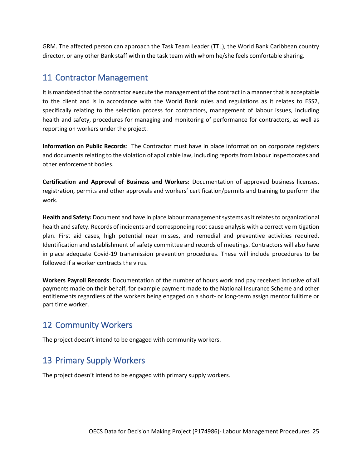GRM. The affected person can approach the Task Team Leader (TTL), the World Bank Caribbean country director, or any other Bank staff within the task team with whom he/she feels comfortable sharing.

## <span id="page-25-0"></span>11 Contractor Management

It is mandated that the contractor execute the management of the contract in a manner that is acceptable to the client and is in accordance with the World Bank rules and regulations as it relates to ESS2, specifically relating to the selection process for contractors, management of labour issues, including health and safety, procedures for managing and monitoring of performance for contractors, as well as reporting on workers under the project.

**Information on Public Records**: The Contractor must have in place information on corporate registers and documents relating to the violation of applicable law, including reports from labour inspectorates and other enforcement bodies.

**Certification and Approval of Business and Workers:** Documentation of approved business licenses, registration, permits and other approvals and workers' certification/permits and training to perform the work.

**Health and Safety:** Document and have in place labour management systems as it relates to organizational health and safety. Records of incidents and corresponding root cause analysis with a corrective mitigation plan. First aid cases, high potential near misses, and remedial and preventive activities required. Identification and establishment of safety committee and records of meetings. Contractors will also have in place adequate Covid-19 transmission prevention procedures. These will include procedures to be followed if a worker contracts the virus.

**Workers Payroll Records**: Documentation of the number of hours work and pay received inclusive of all payments made on their behalf, for example payment made to the National Insurance Scheme and other entitlements regardless of the workers being engaged on a short- or long-term assign mentor fulltime or part time worker.

## <span id="page-25-1"></span>12 Community Workers

<span id="page-25-2"></span>The project doesn't intend to be engaged with community workers.

# 13 Primary Supply Workers

The project doesn't intend to be engaged with primary supply workers.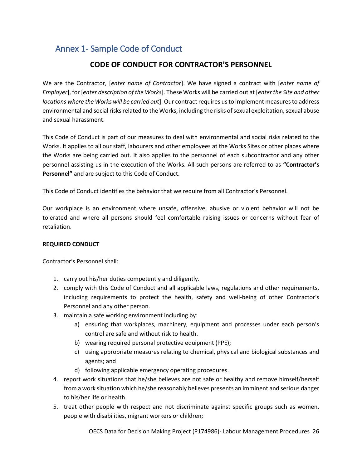# <span id="page-26-0"></span>Annex 1- Sample Code of Conduct

## **CODE OF CONDUCT FOR CONTRACTOR'S PERSONNEL**

We are the Contractor, [*enter name of Contractor*]. We have signed a contract with [*enter name of Employer*], for [*enter description of the Works*]. These Works will be carried out at [*enter the Site and other locations where the Works will be carried out*]. Our contract requires us to implement measures to address environmental and social risks related to the Works, including the risks of sexual exploitation, sexual abuse and sexual harassment.

This Code of Conduct is part of our measures to deal with environmental and social risks related to the Works. It applies to all our staff, labourers and other employees at the Works Sites or other places where the Works are being carried out. It also applies to the personnel of each subcontractor and any other personnel assisting us in the execution of the Works. All such persons are referred to as **"Contractor's Personnel"** and are subject to this Code of Conduct.

This Code of Conduct identifies the behavior that we require from all Contractor's Personnel.

Our workplace is an environment where unsafe, offensive, abusive or violent behavior will not be tolerated and where all persons should feel comfortable raising issues or concerns without fear of retaliation.

#### **REQUIRED CONDUCT**

Contractor's Personnel shall:

- 1. carry out his/her duties competently and diligently.
- 2. comply with this Code of Conduct and all applicable laws, regulations and other requirements, including requirements to protect the health, safety and well-being of other Contractor's Personnel and any other person.
- 3. maintain a safe working environment including by:
	- a) ensuring that workplaces, machinery, equipment and processes under each person's control are safe and without risk to health.
	- b) wearing required personal protective equipment (PPE);
	- c) using appropriate measures relating to chemical, physical and biological substances and agents; and
	- d) following applicable emergency operating procedures.
- 4. report work situations that he/she believes are not safe or healthy and remove himself/herself from a work situation which he/she reasonably believes presents an imminent and serious danger to his/her life or health.
- 5. treat other people with respect and not discriminate against specific groups such as women, people with disabilities, migrant workers or children;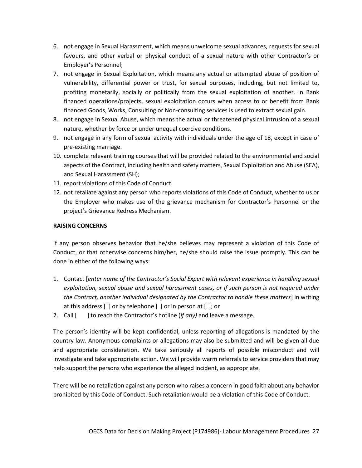- 6. not engage in Sexual Harassment, which means unwelcome sexual advances, requests for sexual favours, and other verbal or physical conduct of a sexual nature with other Contractor's or Employer's Personnel;
- 7. not engage in Sexual Exploitation, which means any actual or attempted abuse of position of vulnerability, differential power or trust, for sexual purposes, including, but not limited to, profiting monetarily, socially or politically from the sexual exploitation of another. In Bank financed operations/projects, sexual exploitation occurs when access to or benefit from Bank financed Goods, Works, Consulting or Non-consulting services is used to extract sexual gain.
- 8. not engage in Sexual Abuse, which means the actual or threatened physical intrusion of a sexual nature, whether by force or under unequal coercive conditions.
- 9. not engage in any form of sexual activity with individuals under the age of 18, except in case of pre-existing marriage.
- 10. complete relevant training courses that will be provided related to the environmental and social aspects of the Contract, including health and safety matters, Sexual Exploitation and Abuse (SEA), and Sexual Harassment (SH);
- 11. report violations of this Code of Conduct.
- 12. not retaliate against any person who reports violations of this Code of Conduct, whether to us or the Employer who makes use of the grievance mechanism for Contractor's Personnel or the project's Grievance Redress Mechanism.

#### **RAISING CONCERNS**

If any person observes behavior that he/she believes may represent a violation of this Code of Conduct, or that otherwise concerns him/her, he/she should raise the issue promptly. This can be done in either of the following ways:

- 1. Contact [*enter name of the Contractor's Social Expert with relevant experience in handling sexual exploitation, sexual abuse and sexual harassment cases, or if such person is not required under the Contract, another individual designated by the Contractor to handle these matters*] in writing at this address [ ] or by telephone [ ] or in person at [ ]; or
- 2. Call [ ] to reach the Contractor's hotline (*if any)* and leave a message.

The person's identity will be kept confidential, unless reporting of allegations is mandated by the country law. Anonymous complaints or allegations may also be submitted and will be given all due and appropriate consideration. We take seriously all reports of possible misconduct and will investigate and take appropriate action. We will provide warm referrals to service providers that may help support the persons who experience the alleged incident, as appropriate.

There will be no retaliation against any person who raises a concern in good faith about any behavior prohibited by this Code of Conduct. Such retaliation would be a violation of this Code of Conduct.